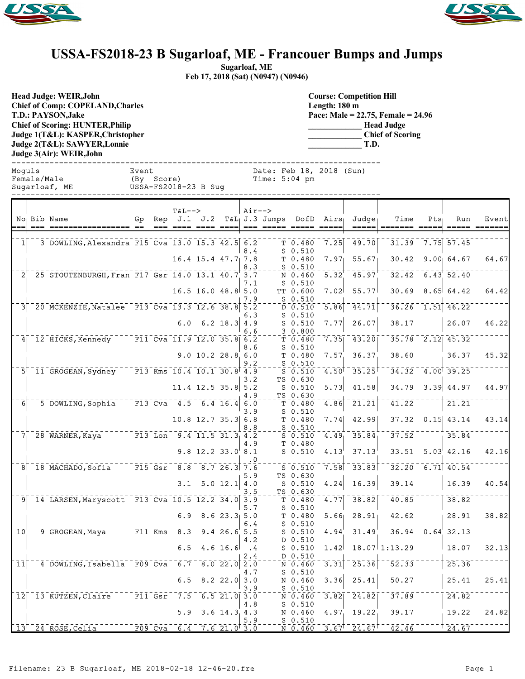



## **USSA-FS2018-23 B Sugarloaf, ME - Francouer Bumps and Jumps**

**Sugarloaf, ME Feb 17, 2018 (Sat) (N0947) (N0946)**

**Head Judge: WEIR,John Chief of Comp: COPELAND,Charles T.D.: PAYSON,Jake Chief of Scoring: HUNTER,Philip Judge 1(T&L): KASPER,Christopher Judge 2(T&L): SAWYER,Lonnie Judge 3(Air): WEIR,John** 

**Course: Competition Hill Length: 180 m Pace: Male = 22.75, Female = 24.96 \_\_\_\_\_\_\_\_\_\_\_\_\_ Head Judge \_\_\_\_\_\_\_\_\_\_\_\_\_ Chief of Scoring \_\_\_\_\_\_\_\_\_\_\_\_\_ T.D.**

------------------------------------------------------------------------------ Moguls Event Date: Feb 18, 2018 (Sun) Female/Male (By Score) Time: 5:04 pm USSA-FS2018-23 B Sug ------------------------------------------------------------------------------ T&L--> Air--> No Bib Name  $G_P$  Rep J.1 J.2 T&L J.3 Jumps DofD Airs Judge Time Pts Run Event === === ================= == === ==== ==== ==== === ===== ===== ===== ===== ======= ===== ===== ======= 1 3 DOWLING, Alexandra F15 Cva 13.0 15.3 42.5 6.2 T 7 0.480 7.25 49.70 31.39 7.75 57.45 8.4 S 0.510<br>7.8 T 0.480 16.4 15.4 47.7 7.8 T 0.480 7.97 55.67 30.42 9.00 64.67 64.67  $\frac{8.3}{3.7}$  - - - -  $\frac{5}{N}$  0.460 25 STOUTENBURGH, Fran F17 Gsr 14.0 13.1 40.7 3.7 N 0.460 5.32 45.97 32.42 6.43 52.40 7.1 S 0.510 16.5 16.0 48.8 5.0 TT 0.600 7.02 55.77 30.69 8.65 64.42 64.42  $7.9 - - 5.0.510$ <br> $5.2 - - 5.0.510$  $3^{ -5.30}_{ -0.201}$   $3^{ -5.30}_{ -0.201}$   $3^{ -5.30}_{ -0.201}$   $3^{ -5.30}_{ -0.201}$   $3^{ -5.30}_{ -0.201}$   $3^{ -5.30}_{ -0.201}$   $3^{ -5.80}_{ -0.201}$   $3^{ -5.80}_{ -0.201}$   $3^{ -5.80}_{ -0.201}$   $3^{ -5.80}_{ -0.201}$   $3^{ -5.80}_{ -0.201}$   $3^{ -5.80}_{ -0.201}$   $3^{ -5$ 6.3 S 0.510 6.0 6.2 18.3 4.9 S 0.510 7.77 26.07 38.17 26.07 46.22  $\underbrace{6.6}_{6.2}$ ---- $\frac{3}{T}$   $\underbrace{0.800}_{0.480}$ 4 12 HICKS, Kennedy F11 Cva 11.9 12.0 35.8 6.2 T 7 8.480 7.35 43.20 35.78 2.12 45.32 8.6 S 0.510<br>6.0 T 0.480 9.0 10.2 28.8 6.0 T 0.480 7.57 36.37 38.60 36.37 45.32  $\frac{9.2}{4.9}$  - - - -  $\frac{5}{5}$   $\frac{0.510}{0.510}$  $5^{\degree}$  11 GROGEAN, Sydney F13 Kms 10.4 10.1 30.8 4.9  $^{-1}$  S 0.510 4.50 35.25  $^{-3}$  35.25  $^{-3}$  4.32  $^{-4}$ .00 39.25 3.2 TS 0.630<br>5.2 S 0.510 11.4 12.5 35.8 5.2 S 0.510 5.73 41.58 34.79 3.39 44.97 44.97 4.9 TS 0.630  $6^-$  5 DOWLING, Sophia  $-$  F13 Cva  $4.5$  6.4 16.4 6.0  $-$  T 0.480 4.86 21.21  $-41.22$ 3.9 S 0.510 10.8 12.7 35.3 6.8 T 0.480 7.74 42.99 37.32 0.15 43.14 43.14  $\frac{8.8}{4.2}$ ---- $\frac{5}{5}$  $\frac{0.510}{0.510}$ 28 WARNER, Kaya F13 Lon 9.4 11.5 31.3 4.2 S 0.510 4.49 35.84 37.52 S 0 3.84 4.9 T 0.480 9.8 12.2 33.0 8.1 S 0.510  $4.13^{1}$  37.13 33.51 5.03 42.16 42.16 .0  $8$ <sup>-</sup> 18 MACHADO,Sofia Fils Gsr 8.7 26.3 7.6  $-$  5.9  $-$  5.510  $-$  7.58  $-$  33.83  $-$  32.20  $-$  6.71 40.54 5.9 TS 0.630 3.1 5.0 12.1  $|4.0$  s 0.510 4.24 16.39 39.14 16.39 40.54<br>3.5 TS 0.630 3.5 TS 0.630  $9$  14 LARSEN, Maryscott F13 Cva 10.5 12.2 34.0 3.9 T  $-$  1 0.480 4.77 38.82  $-40.85$ S 0.510 6.9 8.6 23.3 5.0 T 0.480 5.66 28.91 42.62 28.91 38.82 6.4 S 0.510  $10^{10}$  9 GROGEAN, Maya  $10^{10}$  F11 Kms  $8.3$  9.4 26.6 5.5  $10^{10}$   $3.5$   $0.510$   $4.94$   $31.49$   $31.49$   $36.94$   $0.64$   $32.13$ 4.2 D 0.510 6.5 4.6 16.6 .4 S 0.510 1.42 18.07 1:13.29 18.07 32.13  $\begin{array}{c|c|c|c|c|c} & 2.4 & - & - & - & 0.510 \\ \hline 8.0 & 22.0 & 2.0 & \end{array}$  $11$   $-4$  DOWLING, Isabella F09 Cva 6.7 8.0 22.0 2.0  $-1.7$  N 0.460 3.31 25.36  $-52.33$ 4.7 S 0.510<br>3.0 N 0.460 6.5 8.2 22.0 3.0 N 0.460 3.36 25.41 50.27 25.41 25.41

 $\frac{1}{6.5}$   $\frac{3.9}{21.0}$   $\frac{3.9}{3.0}$   $\frac{0.510}{0.460}$  $12$  13 KUTZEN, Claire F11 Gsr 7.5 6.5 21.0 3.0  $N_0$  6.460 3.82 24.82 37.89  $N_0$  24.82

 $13^{-24}$  ROSE, Celia  $-124.67$   $-24.67$   $-24.67$   $-46.67$   $-46.67$   $-42.46$   $-124.67$ 

4.8 S 0.510

5.9 S 0.510

5.9 3.6 14.3 4.3 N 0.460 4.97 19.22 39.17 19.22 24.82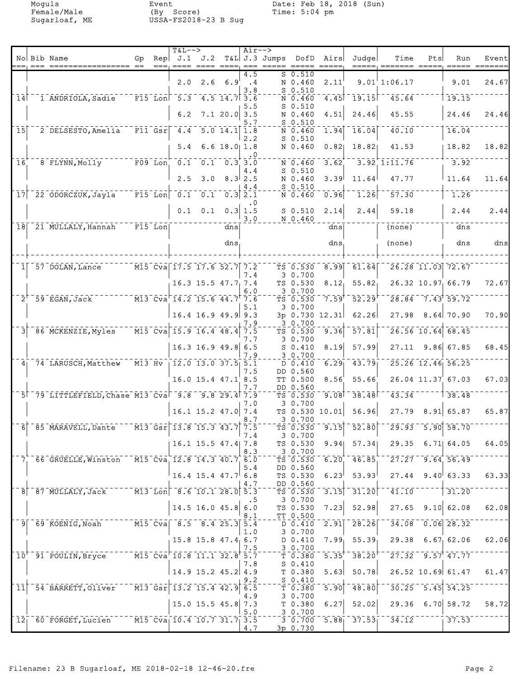Moguls Event Date: Feb 18, 2018 (Sun) Female/Male (By Score) Time: 5:04 pm Sugarloaf, ME USSA-FS2018-23 B Sug

|                  | No Bib Name                                                  | Gp                                  | <b>T&amp;L--&gt;</b><br>$\text{Rep}$ J.1 J.2                                                             |                            |                                                    | $Air--$                             | T&L J.3 Jumps DofD Airs |                                                       |                   | Judge                                                                 | Time                    | Pts | Run                                         | Event |
|------------------|--------------------------------------------------------------|-------------------------------------|----------------------------------------------------------------------------------------------------------|----------------------------|----------------------------------------------------|-------------------------------------|-------------------------|-------------------------------------------------------|-------------------|-----------------------------------------------------------------------|-------------------------|-----|---------------------------------------------|-------|
|                  |                                                              |                                     |                                                                                                          |                            |                                                    |                                     |                         |                                                       |                   |                                                                       |                         |     |                                             |       |
|                  |                                                              |                                     | 2.0                                                                                                      |                            | $2.6$ 6.9                                          | 4.5<br>$\cdot$ 4<br>3.8             |                         | $S_0.510$<br>N 0.460<br>$S$ 0.510                     | 2.11              |                                                                       | 9.01'1:06.17            |     | 9.01                                        | 24.67 |
| 14               | 1 ANDRIOLA, Sadie                                            |                                     | $\overline{F15}$ Lon $\overline{5.3}$                                                                    |                            | $-4.5$ 14.7 3.6                                    |                                     |                         | N 0.460                                               |                   | $-4.45$ <sup><math>-19.15</math></sup>                                | $\overline{45.64}$      |     | 19.15                                       |       |
|                  |                                                              |                                     | 6.2                                                                                                      |                            | $7.1$ 20.0 3.5                                     | 5.5<br>5.7                          |                         | $S$ 0.510<br>N 0.460<br>$S$ 0.510                     | 4.51              | 24.46                                                                 | 45.55                   |     | 24.46                                       | 24.46 |
| 15               | 2 DELSESTO, Amelia                                           |                                     | $F11$ $Gsr$ $4.4$                                                                                        |                            | $\overline{5.0}$ 14.1 1.8                          |                                     |                         | N 0.460                                               |                   | $1.94$ 16.04                                                          | 40.10                   |     | 16.04                                       |       |
|                  |                                                              |                                     | 5.4                                                                                                      |                            | $6.6$ 18.0 1.8                                     | 2, 2                                |                         | $S$ 0.510<br>N 0.460                                  | 0.82              | 18.82                                                                 | 41.53                   |     | 18.82                                       | 18.82 |
| 16               | 8 FLYNN, Molly                                               | $\overline{F09}$ Lon $\overline{F}$ | $\overline{0.1}$                                                                                         |                            | $\overline{0.1}$ $\overline{0.3}$ $\overline{3.0}$ | $\cdot$ 0                           |                         | N 0.460                                               | 3.62              |                                                                       | $3.92$ 1:11.76          |     | 3.92                                        |       |
|                  |                                                              |                                     | 2.5                                                                                                      | 3.0                        |                                                    | 4.4<br>$8.3$ 2.5<br>4.4             |                         | $S_0.510$<br>N 0.460<br>$S_0.510$                     | 3.39              | 11.64                                                                 | 47.77                   |     | 11.64                                       | 11.64 |
| 17               | 22 ODORCZUK, Jayla                                           |                                     | $\overline{F15}$ Lon $\overline{0.1}$                                                                    | 0.1                        |                                                    | $0.3$ 2.1                           |                         | N 0.460                                               | 0.96              | 1.26                                                                  | 57.30                   |     | 1.26                                        |       |
|                  |                                                              |                                     |                                                                                                          | $0.1 \quad 0.1$            |                                                    | $\cdot$ .0<br>$0.3 \mid 1.5$<br>3.0 |                         | $S$ 0.510<br>N 0.460                                  | 2.14              | 2.44                                                                  | 59.18                   |     | 2.44                                        | 2.44  |
|                  | 18 21 MULLALY, Hannah                                        | $^-$ F15 $^-$ Lon $\mid$            |                                                                                                          |                            | dns                                                |                                     |                         |                                                       | dns               |                                                                       | (none)                  |     | dns                                         |       |
|                  |                                                              |                                     |                                                                                                          |                            | dns                                                |                                     |                         |                                                       | dns               |                                                                       | (none)                  |     | dns                                         | dns   |
|                  | 57 DOLAN, Lance                                              |                                     | M15 Cva 17.5 17.6 52.7 7.2                                                                               |                            |                                                    | 7.4                                 |                         | TS 0.530<br>3 0.700                                   |                   | $8.99$ $61.64$                                                        |                         |     | 26.28 11.03 72.67                           |       |
|                  |                                                              |                                     |                                                                                                          | $16.3$ $15.5$ $47.7$ $7.4$ |                                                    |                                     |                         | TS 0.530                                              | $8.12_1$          | 55.82                                                                 |                         |     | 26.32 10.97 66.79                           | 72.67 |
| $2^{\prime}$     | $-59$ EGAN, Jack                                             |                                     | M13 Cva 14.2 15.6 44.7 7.6                                                                               |                            |                                                    | 6.0                                 |                         | 3 0.700<br>TS 0.530                                   | 7.59              | 52.29                                                                 |                         |     | $28.84 - 7.43$ 59.72                        |       |
|                  |                                                              |                                     |                                                                                                          | $16.4$ 16.9 49.9 9.3       |                                                    | 5.1<br>7.9                          |                         | 3 0.700<br>3p 0.730 12.31<br>30.700                   |                   | 62.26                                                                 | 27.98                   |     | $8.64$ 70.90                                | 70.90 |
|                  | 86 MCKENZIE, Myles                                           |                                     | $\sqrt{M15}$ Cva 15.9 16.4 48.4                                                                          |                            |                                                    | 7.5                                 |                         | TS 0.530                                              | $\overline{9.36}$ | 57.81                                                                 |                         |     | 26.56 10.64 68.45                           |       |
|                  |                                                              |                                     |                                                                                                          | $16.3$ 16.9 49.8 6.5       |                                                    | 7.7<br>7.9                          |                         | 3 0.700<br>$S_0.410$<br>30.700                        | 8.19              | 57.99                                                                 |                         |     | $27.11$ 9.86 67.85                          | 68.45 |
|                  | 4 74 LARUSCH, Matthew                                        |                                     | $\overline{M13}$ Hv $\overline{12.0}$ 13.0 37.5 5.1                                                      |                            |                                                    |                                     |                         | D 0.410                                               | 6.29              | 43.79                                                                 |                         |     | 25.26 12.46 56.25                           |       |
|                  |                                                              |                                     |                                                                                                          | 16.0 15.4 47.1 8.5         |                                                    | 7.5<br>7.7                          |                         | DD 0.560<br>TT 0.500<br>DD 0.560                      | 8.56              | 55.66                                                                 |                         |     | 26.04 11.37 67.03                           | 67.03 |
|                  | 5 79 LITTLEFIELD, Chase M13 Cva 9.8 9.8 29.4 7.9             |                                     |                                                                                                          |                            |                                                    |                                     |                         | TS 0.530                                              | 9.08              | 38.48                                                                 | $\overline{43.34}$      |     | $\sqrt{38.48}$                              |       |
|                  |                                                              |                                     |                                                                                                          | $16.1$ 15.2 47.0 7.4       |                                                    | 7.0<br>8.7                          |                         | 30.700<br>TS 0.530 10.01<br>3 0.700                   |                   | 56.96                                                                 | 27.79                   |     | 8.91  65.87                                 | 65.87 |
|                  | $6$ $85$ MARAVELL, Dante                                     |                                     | $\overline{M13}$ $\overline{Gsr}$ $\overline{13.8}$ $\overline{15.3}$ $\overline{43.7}$ $\overline{7.5}$ |                            |                                                    |                                     |                         | $\bar{T}S$ 0.530                                      | 9.15              | 52.80                                                                 | 29.93                   |     | $5.90$ $58.70$                              |       |
|                  |                                                              |                                     |                                                                                                          | $16.1$ 15.5 47.4 7.8       |                                                    | 7.4<br>8.3                          |                         | 30.700<br>TS 0.530<br>3 0.700                         | 9.94              | 57.34                                                                 |                         |     | 29.35 6.71 64.05                            | 64.05 |
|                  | 7 66 GRUELLE, Winston M15 Cva 12.8 14.3 40.7 6.0             |                                     |                                                                                                          |                            |                                                    |                                     |                         | TS 0.530<br>DD 0.560                                  | $6.20^{-1}$       | 46.85                                                                 |                         |     | $27.27 - 9.64$ , 56.49                      |       |
|                  |                                                              |                                     |                                                                                                          | $16.4$ 15.4 $47.7$ 6.8     |                                                    | 5.4<br>4.7                          |                         | TS 0.530<br>DD 0.560                                  | 6.23              | 53.93                                                                 |                         |     | $27.44$ 9.40 63.33                          | 63.33 |
|                  | 8 - 87 MULLALY, Jack ----- M13 Lon 8.6 10.1 28.0 5.3         |                                     |                                                                                                          |                            |                                                    |                                     |                         | TS 0.530                                              |                   | $\overline{3.15}$ ] $\overline{31.20}$ ]                              | 41.10                   |     | 31.20                                       |       |
|                  |                                                              |                                     |                                                                                                          | $14.5$ 16.0 45.8 6.0       |                                                    | . 5<br>8.1                          |                         | 3 0.700<br>TS 0.530<br>TT 0.500                       |                   | $7.23$ 52.98                                                          | 27.65                   |     | 9.10 62.08                                  | 62.08 |
|                  | 9 69 KOENIG, Noah M15 Cva 8.5 8.4 25.3 5.4                   |                                     |                                                                                                          |                            |                                                    | 1.0                                 |                         | D 0.410<br>3 0.700                                    |                   | $\overline{2.91}$ $\overline{28.26}$                                  |                         |     | $34.08 - 0.06$ 28.32                        |       |
|                  |                                                              |                                     |                                                                                                          | 15.8 15.8 47.4 6.7         |                                                    | 7.5                                 |                         | D 0.410<br>30.700                                     |                   | $7.99$ <sub>1</sub> 55.39 <sub>1</sub>                                |                         |     | $29.38$ 6.67 62.06                          | 62.06 |
|                  | 10 <sup>+-</sup> 91 <sup>-</sup> POULIN, Bryce <sup>--</sup> |                                     | $ \overline{M15}$ $\overline{C} \overline{v}$ a $\overline{10.8}$ 11.1 32.8 <sup>†</sup> 5.7             |                            |                                                    | 7.8                                 |                         | $\bar{\tau}$ $\bar{0}$ .380 $\bar{\tau}$<br>$S_0.410$ |                   | $\overline{5.35}^{\dagger}$ 38.20                                     |                         |     | $\sqrt{27.32}$ $\sqrt{9.57}$ $\sqrt{47.77}$ |       |
|                  |                                                              |                                     |                                                                                                          | 14.9 15.2 45.2 4.9         |                                                    | 9.2                                 |                         | $T$ 0.380<br>$S_0.410$                                |                   | $5.63$ $50.78$                                                        |                         |     | 26.52 10.69 61.47                           | 61.47 |
| $\bar{1}\bar{1}$ | 54 BARRETT, Oliver                                           |                                     | $^{\circ}$ M13 Gsr 13.2 15.4 42.9                                                                        |                            |                                                    | 6.5                                 |                         | T 0.380                                               | $\overline{5.90}$ | $\bar{48.80}$                                                         |                         |     | $30.25 - 5.45$ 54.25                        |       |
|                  |                                                              |                                     |                                                                                                          | $15.0$ $15.5$ $45.8$ 7.3   |                                                    | 4.9<br>5.0                          |                         | 3 0.700<br>T <sub>0.380</sub><br>3 0.700              | 6.27              | 52.02                                                                 |                         |     | $29.36$ 6.70 58.72                          | 58.72 |
| 12 <sub>1</sub>  | 60 FORGET, Lucien                                            |                                     | $\sqrt{15}$ $\bar{C}$ va $\sqrt{10.4}$ $\sqrt{10.7}$ $\sqrt{31.7}$ $\sqrt{3.5}$                          |                            |                                                    | 4.7                                 |                         | 3p 0.730                                              |                   | $\sqrt{3}$ $\sqrt{0.700}$ $\sqrt{5.88}$ $\sqrt{37.53}$ $\sqrt{0.700}$ | $3\bar{4}.\bar{12}$ - - |     | 37.53                                       |       |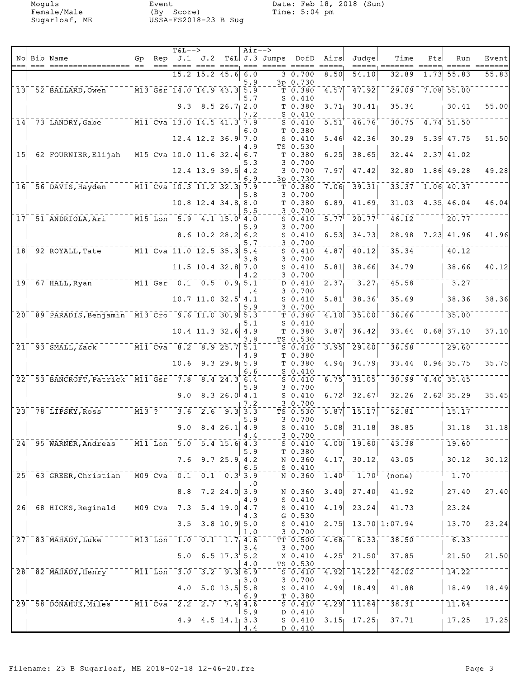Moguls Event Date: Feb 18, 2018 (Sun) Female/Male (By Score) Time: 5:04 pm Sugarloaf, ME USSA-FS2018-23 B Sug

|                            |                                                   |    |             | <b>T&amp;L--&gt;</b>                                                                        |                           |                           | $Air--$               |                              |                                                                                                                                                 |                                |                                |                            |                |                                               |       |
|----------------------------|---------------------------------------------------|----|-------------|---------------------------------------------------------------------------------------------|---------------------------|---------------------------|-----------------------|------------------------------|-------------------------------------------------------------------------------------------------------------------------------------------------|--------------------------------|--------------------------------|----------------------------|----------------|-----------------------------------------------|-------|
|                            | No Bib Name                                       | Gp | Rep<br>$==$ |                                                                                             | J.1 J.2<br>==== ==== ==== |                           | $== =$                | T&L J.3 Jumps<br>===== ===== | DofD                                                                                                                                            | Airs                           | Judge                          | Time<br>=====, =======     | Pts<br>$=====$ | Run<br>$=====$                                | Event |
|                            |                                                   |    |             |                                                                                             | $15.2$ 15.2 45.6          |                           | 6.0                   |                              | 3 0.700                                                                                                                                         | 8.50                           | 54.10                          | 32.89                      | 1.73           | 55.83                                         | 55.83 |
|                            | 13 52 BALLARD, Owen                               |    |             | $\sqrt{M13}$ Gsr $\sqrt{14.0}$ 14.9 43.3 5.9                                                |                           |                           | 5.9                   |                              | 3p 0.730<br>$\bar{T}$ $\bar{0}$ $\bar{0}$ $\bar{3}80$                                                                                           | 4.57                           | 17.92                          | 29.09                      |                | $7.08$ 55.00                                  |       |
|                            |                                                   |    |             |                                                                                             |                           |                           | 5.7                   |                              | $S_0.410$                                                                                                                                       |                                |                                |                            |                |                                               |       |
|                            |                                                   |    |             |                                                                                             | $9.3$ 8.5 26.7 2.0        |                           | 7.2                   |                              | T 0.380<br>$S_0.410$                                                                                                                            | 3.71                           | 30.41                          | 35.34                      |                | 30.41                                         | 55.00 |
|                            | 14 73 LANDRY, Gabe M11 Cva 13.0 14.5 41.3 7.9     |    |             |                                                                                             |                           |                           |                       |                              | $S_0.410$                                                                                                                                       | $\overline{5.51}$              | 46.76                          |                            |                | $30.75 - 4.74$ 51.50                          |       |
|                            |                                                   |    |             |                                                                                             | $12.4$ $12.2$ $36.9$ 7.0  |                           | 6.0                   |                              | T 0.380<br>$S_0.410$                                                                                                                            | 5.46                           | 42.36                          | 30.29                      |                | 5.39 47.75                                    | 51.50 |
|                            |                                                   |    |             |                                                                                             |                           |                           | 4.9                   |                              | TS 0.530                                                                                                                                        |                                |                                |                            |                |                                               |       |
| 15                         | 62 FOURNIER, Elijah                               |    |             | $\sqrt{M15}$ Cva 10.0 11.6 32.4                                                             |                           |                           | 6.7                   |                              | T <sub>0.380</sub>                                                                                                                              | 6.25                           | 38.65                          | 32.44                      |                | $\begin{bmatrix} 2.37 \\ 41.02 \end{bmatrix}$ |       |
|                            |                                                   |    |             |                                                                                             | $12.4$ 13.9 39.5 4.2      |                           | 5.3                   |                              | 30.700<br>30.700                                                                                                                                | 7.97                           | 47.42                          | 32.80                      |                | $1.86$ 49.28                                  | 49.28 |
|                            |                                                   |    |             |                                                                                             |                           |                           | 6.9                   |                              | 3p 0.730                                                                                                                                        |                                |                                |                            |                |                                               |       |
|                            | 16 56 DAVIS, Hayden M11 Cva 10.3 11.2 32.3 7.9    |    |             |                                                                                             |                           |                           | 5.8                   |                              | T 0.380<br>30.700                                                                                                                               |                                | $7.06$ <sup>39.31</sup>        |                            |                | $33.37$ 1.06 40.37                            |       |
|                            |                                                   |    |             |                                                                                             | 10.8 12.4 34.8 8.0        |                           |                       |                              | T 0.380                                                                                                                                         | 6.89                           | 41.69                          | 31.03                      |                | 4.35, 46.04                                   | 46.04 |
|                            | $17^{\dagger}$ 51 ANDRIOLA, Ari                   |    |             | $-$ M15 Lon $-$ 5.9 $-$ 4.1 15.0 4.0                                                        |                           |                           | 5.5                   |                              | 30.700<br>$S$ 0.410                                                                                                                             | $\overline{5.77}$ <sup>T</sup> | 20.77                          | $\bar{46}.12$              |                | $\overline{20.77}$                            |       |
|                            |                                                   |    |             |                                                                                             |                           |                           | 5.9                   |                              | 3 0.700                                                                                                                                         |                                |                                |                            |                |                                               |       |
|                            |                                                   |    |             |                                                                                             | $8.6$ 10.2 28.2 6.2       |                           |                       |                              | $S_0.410$                                                                                                                                       | 6.53                           | 34.73                          | 28.98                      |                | $7.23$ 41.96                                  | 41.96 |
| $\overline{18}$            |                                                   |    |             |                                                                                             |                           |                           | 5.7<br>5.4            |                              | 30.700<br>$S_0.410$                                                                                                                             | 4.87                           | 40.12                          | 35.34                      |                | 40.12                                         |       |
|                            |                                                   |    |             |                                                                                             |                           |                           | 3.8                   |                              | 3 0.700                                                                                                                                         |                                |                                |                            |                |                                               |       |
|                            |                                                   |    |             |                                                                                             | 11.5 10.4 32.8 7.0        |                           | 4.2                   |                              | $S_0.410$<br>3 0.700                                                                                                                            | 5.81                           | 38.66                          | 34.79                      |                | 38.66                                         | 40.12 |
| $\overline{19}$            | 67 HALL,Ryan                                      |    |             | $\overline{M11}$ Gsr <sub>1</sub> 0.1 0.5 0.9 5.1                                           |                           |                           |                       |                              | D 0.410                                                                                                                                         | 2.37                           | 3.27                           | 45.58                      |                | $-3.27$                                       |       |
|                            |                                                   |    |             |                                                                                             | $10.7$ 11.0 32.5 4.1      |                           | . 4                   |                              | 30.700<br>$S_0.410$                                                                                                                             | 5.81                           | 38.36                          | 35.69                      |                | 38.36                                         | 38.36 |
|                            |                                                   |    |             |                                                                                             |                           |                           |                       |                              | 3 0.700                                                                                                                                         |                                |                                |                            |                |                                               |       |
|                            | 20 89 PARADIS, Benjamin M13 Cro 9.6 11.0 30.9 5.3 |    |             |                                                                                             |                           |                           | 5.1                   |                              | T 0.380<br>$S_0.410$                                                                                                                            | $\overline{4.10}$              | $-35.00$                       | 36.66                      |                | 35.00                                         |       |
|                            |                                                   |    |             |                                                                                             | $10.4$ 11.3 32.6 4.9      |                           |                       |                              | T 0.380                                                                                                                                         | 3.87                           | 36.42                          | 33.64                      |                | $0.68$ 37.10                                  | 37.10 |
| 21                         | 93 SMALL, Zack                                    |    |             | $\overline{M11}$ Cva $\overline{8.2}$ $\overline{8.9}$ 25.7 5.1                             |                           |                           | 3.8                   |                              | TS 0.530<br>$S_0.410$                                                                                                                           | $\overline{3.95}$              | 29.60                          | 36.58                      |                | 29.60                                         |       |
|                            |                                                   |    |             |                                                                                             |                           |                           | 4.9                   |                              | T 0.380                                                                                                                                         |                                |                                |                            |                |                                               |       |
|                            |                                                   |    |             | 10.6                                                                                        |                           | $9.329.8$ 5.9             |                       |                              | T 0.380                                                                                                                                         |                                | $4.94$ 34.79                   | 33.44                      |                | $0.96$ 35.75                                  | 35.75 |
| $\overline{2}\overline{2}$ | 53 BANCROFT, Patrick M11 Gsr 7.8 8.4 24.3 6.4     |    |             |                                                                                             |                           |                           | 6.6                   |                              | $S_0.410$<br>$S_0.410$                                                                                                                          | 6.75                           | 31.05                          |                            |                | $30.99 - 4.40$ 35.45                          |       |
|                            |                                                   |    |             | 9.0                                                                                         |                           | 8.326.04.1                | 5.9                   |                              | 30.700                                                                                                                                          |                                |                                | 32.26                      |                | $2.62$ 35.29                                  | 35.45 |
|                            |                                                   |    |             |                                                                                             |                           |                           | 7.2                   |                              | $S_0.410$<br>30.700                                                                                                                             | 6.72                           | 32.67                          |                            |                |                                               |       |
| $\overline{2}3$            | $-78$ LIPSKY, Ross $-113$ $7$                     |    |             | $\overline{3.6}$                                                                            | $\sqrt{2.6}$              |                           | $9.3 \overline{)3.3}$ |                              | TS 0.530                                                                                                                                        | 5.87                           | 15.17                          | 52.81                      |                | 15.17                                         |       |
|                            |                                                   |    |             | 9.0                                                                                         |                           | 8.426.1 4.9               | 5.9                   |                              | 30.700<br>$S_0.410$                                                                                                                             | 5.08                           | 31.18                          | 38.85                      |                | 31.18                                         | 31.18 |
|                            |                                                   |    |             |                                                                                             |                           |                           | 4.4                   |                              | 30.700                                                                                                                                          |                                |                                |                            |                |                                               |       |
|                            | 24   95 WARNER, Andreas M11 Lon 5.0 5.4 15.6 4.3  |    |             |                                                                                             |                           |                           | 5.9                   |                              | $S_0.410$<br>T 0.380                                                                                                                            |                                | $\boxed{4.00}$ $\boxed{19.60}$ | 43.38                      |                | 19.60                                         |       |
|                            |                                                   |    |             | 7.6                                                                                         |                           | 9.725.94.2                |                       |                              | N 0.360                                                                                                                                         |                                | 4.17, 30.12                    | 43.05                      |                | 30.12                                         | 30.12 |
|                            | 25 <sup><math>-63</math></sup> GREER, Christian   |    |             | $^{\circ}$ MO9 $^{\circ}$ Cva $^{\circ}$ O.1 $^{\circ}$ O.1 $^{\circ}$ O.3 $^{\dagger}$ 3.9 |                           |                           | 6.5                   |                              | $S_0.410$<br>N 0.360                                                                                                                            | $1.40^{\dagger}$               | $\bar{1.70}$ r $^{-1}$         | $\overline{(\text{none})}$ |                | $-1.70$                                       |       |
|                            |                                                   |    |             |                                                                                             |                           |                           | . 0                   |                              |                                                                                                                                                 |                                |                                |                            |                |                                               |       |
|                            |                                                   |    |             | $\bf 8$ . $\bf 8$                                                                           |                           | $7.2$ 24.0 3.9            | 4.9                   |                              | N 0.360<br>$S_0.410$                                                                                                                            | 3.40                           | 27.40                          | 41.92                      |                | 27.40                                         | 27.40 |
| $\overline{2}6$            | 68 HICKS, Reginald M09 Cva                        |    |             |                                                                                             | $7.3$ $5.4$ $19.0$ $4.7$  |                           |                       |                              | $\overline{\mathsf{s}}$ $\overline{\mathsf{0}}$ $\overline{\mathsf{4}}$ $\overline{\mathsf{1}}$ $\overline{\mathsf{0}}$ $\overline{\mathsf{6}}$ | 4.19                           | $\overline{23.24}$             | 41.73                      |                | 23.24                                         |       |
|                            |                                                   |    |             | 3.5                                                                                         |                           | $3.8$ 10.9 5.0            | 4.3                   |                              | $G_0.530$                                                                                                                                       | 2.75                           |                                | 13.70 1:07.94              |                | 13.70                                         | 23.24 |
|                            |                                                   |    |             |                                                                                             |                           |                           | 1.0                   |                              | $S_0.410$<br>30.700                                                                                                                             |                                |                                |                            |                |                                               |       |
|                            | 27 83 MAHADY, Luke M13 Lon, 1.0 0.1 1.7 4.6       |    |             |                                                                                             |                           |                           |                       |                              | $\bar{T}$ $\bar{T}$ $\bar{0}$ .500 $\bar{0}$                                                                                                    | 4.68                           | $-5.33^{+}_{1}$                | $\overline{38.50}$         |                | $-6.33$                                       |       |
|                            |                                                   |    |             | 5.0                                                                                         |                           | 6.5 $17.3$ <sup>5.2</sup> | 3.4                   |                              | 30.700<br>X 0.410                                                                                                                               | 4.25                           | 21.50                          | 37.85                      |                | 21.50                                         | 21.50 |
|                            |                                                   |    |             |                                                                                             |                           |                           | 4.0                   |                              | TS 0.530                                                                                                                                        |                                |                                |                            |                |                                               |       |
|                            | 28 82 MAHADY, Henry M11 Lon 3.0                   |    |             |                                                                                             |                           | $3.2$ $9.3$ 6.9           | 3.0                   |                              | S 0.410<br>3 0.700                                                                                                                              |                                | $-4.92$ $-14.22$               | $\overline{42.02}$         |                | 14.22                                         |       |
|                            |                                                   |    |             | $4.0\,$                                                                                     |                           | 5.0 13.5                  | 5.8                   |                              | $S_0.410$                                                                                                                                       | 4.99                           | 18.49                          | 41.88                      |                | 18.49                                         | 18.49 |
|                            | 29 58 DONAHUE, Miles M11 Cva 2.2 2.7 7.4 4.6      |    |             |                                                                                             |                           |                           | 6.9                   |                              | $T$ 0.380<br>$5 - 0.410$                                                                                                                        |                                | $\sqrt{4.29}$ $\sqrt{11.64}$   | 38.31                      |                | 11.64                                         |       |
|                            |                                                   |    |             |                                                                                             |                           |                           | 5.9                   |                              | D 0.410                                                                                                                                         |                                |                                |                            |                |                                               |       |
|                            |                                                   |    |             |                                                                                             | $4.9$ $4.5$ $14.1$ 3.3    |                           | 4.4                   |                              | $S_0.410$<br><u>D 0.410</u>                                                                                                                     |                                | $3.15$ 17.25                   | 37.71                      |                | 17.25                                         | 17.25 |
|                            |                                                   |    |             |                                                                                             |                           |                           |                       |                              |                                                                                                                                                 |                                |                                |                            |                |                                               |       |